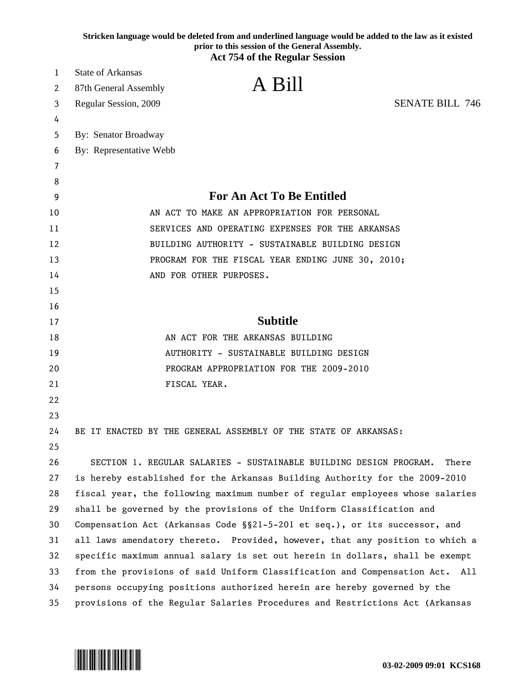|    | Stricken language would be deleted from and underlined language would be added to the law as it existed<br>prior to this session of the General Assembly. |
|----|-----------------------------------------------------------------------------------------------------------------------------------------------------------|
|    | <b>Act 754 of the Regular Session</b>                                                                                                                     |
| 1  | State of Arkansas                                                                                                                                         |
| 2  | A Bill<br>87th General Assembly                                                                                                                           |
| 3  | <b>SENATE BILL 746</b><br>Regular Session, 2009                                                                                                           |
| 4  |                                                                                                                                                           |
| 5  | By: Senator Broadway                                                                                                                                      |
| 6  | By: Representative Webb                                                                                                                                   |
| 7  |                                                                                                                                                           |
| 8  |                                                                                                                                                           |
| 9  | <b>For An Act To Be Entitled</b>                                                                                                                          |
| 10 | AN ACT TO MAKE AN APPROPRIATION FOR PERSONAL                                                                                                              |
| 11 | SERVICES AND OPERATING EXPENSES FOR THE ARKANSAS                                                                                                          |
| 12 | BUILDING AUTHORITY - SUSTAINABLE BUILDING DESIGN                                                                                                          |
| 13 | PROGRAM FOR THE FISCAL YEAR ENDING JUNE 30, 2010;                                                                                                         |
| 14 | AND FOR OTHER PURPOSES.                                                                                                                                   |
| 15 |                                                                                                                                                           |
| 16 |                                                                                                                                                           |
| 17 | <b>Subtitle</b>                                                                                                                                           |
| 18 | AN ACT FOR THE ARKANSAS BUILDING                                                                                                                          |
| 19 | AUTHORITY - SUSTAINABLE BUILDING DESIGN                                                                                                                   |
| 20 | PROGRAM APPROPRIATION FOR THE 2009-2010                                                                                                                   |
| 21 | FISCAL YEAR.                                                                                                                                              |
| 22 |                                                                                                                                                           |
| 23 |                                                                                                                                                           |
| 24 | BE IT ENACTED BY THE GENERAL ASSEMBLY OF THE STATE OF ARKANSAS:                                                                                           |
| 25 |                                                                                                                                                           |
| 26 | SECTION 1. REGULAR SALARIES - SUSTAINABLE BUILDING DESIGN PROGRAM.<br>There                                                                               |
| 27 | is hereby established for the Arkansas Building Authority for the 2009-2010                                                                               |
| 28 | fiscal year, the following maximum number of regular employees whose salaries                                                                             |
| 29 | shall be governed by the provisions of the Uniform Classification and                                                                                     |
| 30 | Compensation Act (Arkansas Code §§21-5-201 et seq.), or its successor, and                                                                                |
| 31 | all laws amendatory thereto. Provided, however, that any position to which a                                                                              |
| 32 | specific maximum annual salary is set out herein in dollars, shall be exempt                                                                              |
| 33 | from the provisions of said Uniform Classification and Compensation Act.<br>All                                                                           |
| 34 | persons occupying positions authorized herein are hereby governed by the                                                                                  |
| 35 | provisions of the Regular Salaries Procedures and Restrictions Act (Arkansas                                                                              |

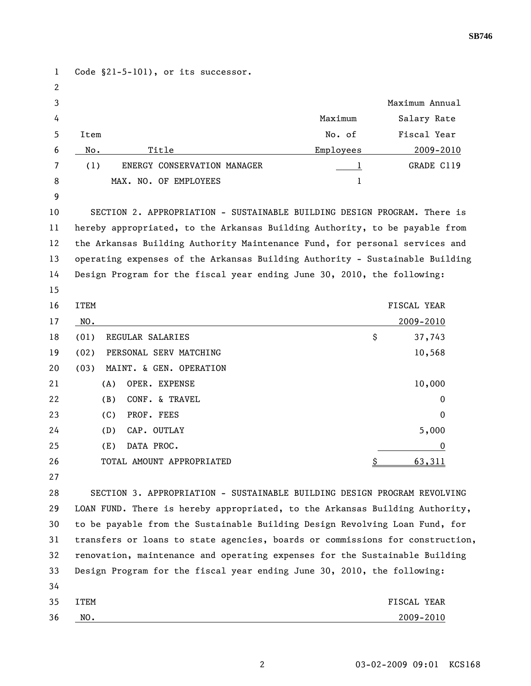1 Code §21-5-101), or its successor. 2 3 Maximum Annual 4 Maximum Salary Rate 5 Item No. of Fiscal Year 6 No. Title Employees 2009-2010 7 (1) ENERGY CONSERVATION MANAGER 1 GRADE C119 8 MAX. NO. OF EMPLOYEES 1 9 10 SECTION 2. APPROPRIATION - SUSTAINABLE BUILDING DESIGN PROGRAM. There is 11 hereby appropriated, to the Arkansas Building Authority, to be payable from 12 the Arkansas Building Authority Maintenance Fund, for personal services and 13 operating expenses of the Arkansas Building Authority - Sustainable Building 14 Design Program for the fiscal year ending June 30, 2010, the following: 15 16 ITEM FISCAL YEAR AND THE SALE OF THE SALE OF THE SALE OF THE SALE OF THE SALE OF THE SALE OF THE SALE OF THE SALE OF THE SALE OF THE SALE OF THE SALE OF THE SALE OF THE SALE OF THE SALE OF THE SALE OF THE SALE OF THE SA 17 <u>NO. 2009-2010</u> 18 (01) REGULAR SALARIES \$ 37,743 19 (02) PERSONAL SERV MATCHING 10,568 20 (03) MAINT. & GEN. OPERATION 21 (A) OPER. EXPENSE 2000 22 (B) CONF. & TRAVEL 0 23 (C) PROF. FEES 0 24 (D) CAP. OUTLAY 5,000 25 (E) DATA PROC. 0 26 TOTAL AMOUNT APPROPRIATED 5 5 63,311 27 28 SECTION 3. APPROPRIATION - SUSTAINABLE BUILDING DESIGN PROGRAM REVOLVING 29 LOAN FUND. There is hereby appropriated, to the Arkansas Building Authority, 30 to be payable from the Sustainable Building Design Revolving Loan Fund, for 31 transfers or loans to state agencies, boards or commissions for construction, 32 renovation, maintenance and operating expenses for the Sustainable Building 33 Design Program for the fiscal year ending June 30, 2010, the following: 34 35 ITEM FISCAL YEAR 36 <u>NO. 2009-2010</u>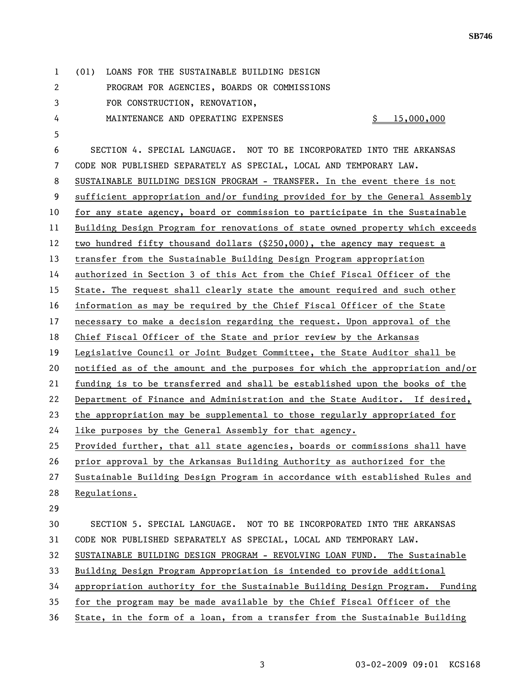| 1  | LOANS FOR THE SUSTAINABLE BUILDING DESIGN<br>(01)                             |
|----|-------------------------------------------------------------------------------|
| 2  | PROGRAM FOR AGENCIES, BOARDS OR COMMISSIONS                                   |
| 3  | FOR CONSTRUCTION, RENOVATION,                                                 |
| 4  | MAINTENANCE AND OPERATING EXPENSES<br><u>\$</u><br>15,000,000                 |
| 5  |                                                                               |
| 6  | SECTION 4. SPECIAL LANGUAGE. NOT TO BE INCORPORATED INTO THE ARKANSAS         |
| 7  | CODE NOR PUBLISHED SEPARATELY AS SPECIAL, LOCAL AND TEMPORARY LAW.            |
| 8  | SUSTAINABLE BUILDING DESIGN PROGRAM - TRANSFER. In the event there is not     |
| 9  | sufficient appropriation and/or funding provided for by the General Assembly  |
| 10 | for any state agency, board or commission to participate in the Sustainable   |
| 11 | Building Design Program for renovations of state owned property which exceeds |
| 12 | two hundred fifty thousand dollars (\$250,000), the agency may request a      |
| 13 | transfer from the Sustainable Building Design Program appropriation           |
| 14 | authorized in Section 3 of this Act from the Chief Fiscal Officer of the      |
| 15 | State. The request shall clearly state the amount required and such other     |
| 16 | information as may be required by the Chief Fiscal Officer of the State       |
| 17 | necessary to make a decision regarding the request. Upon approval of the      |
| 18 | Chief Fiscal Officer of the State and prior review by the Arkansas            |
| 19 | Legislative Council or Joint Budget Committee, the State Auditor shall be     |
| 20 | notified as of the amount and the purposes for which the appropriation and/or |
| 21 | funding is to be transferred and shall be established upon the books of the   |
| 22 | Department of Finance and Administration and the State Auditor. If desired,   |
| 23 | the appropriation may be supplemental to those regularly appropriated for     |
| 24 | like purposes by the General Assembly for that agency.                        |
| 25 | Provided further, that all state agencies, boards or commissions shall have   |
| 26 | prior approval by the Arkansas Building Authority as authorized for the       |
| 27 | Sustainable Building Design Program in accordance with established Rules and  |
| 28 | Regulations.                                                                  |
| 29 |                                                                               |
| 30 | SECTION 5. SPECIAL LANGUAGE. NOT TO BE INCORPORATED INTO THE ARKANSAS         |
| 31 | CODE NOR PUBLISHED SEPARATELY AS SPECIAL, LOCAL AND TEMPORARY LAW.            |
| 32 | SUSTAINABLE BUILDING DESIGN PROGRAM - REVOLVING LOAN FUND. The Sustainable    |
| 33 | Building Design Program Appropriation is intended to provide additional       |
| 34 | appropriation authority for the Sustainable Building Design Program. Funding  |
| 35 | for the program may be made available by the Chief Fiscal Officer of the      |
| 36 | State, in the form of a loan, from a transfer from the Sustainable Building   |

3 03-02-2009 09:01 KCS168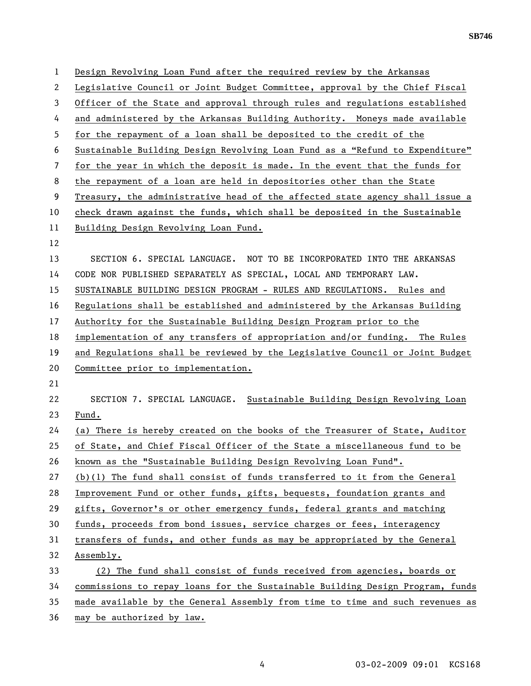1 Design Revolving Loan Fund after the required review by the Arkansas 2 Legislative Council or Joint Budget Committee, approval by the Chief Fiscal 3 Officer of the State and approval through rules and regulations established 4 and administered by the Arkansas Building Authority. Moneys made available 5 for the repayment of a loan shall be deposited to the credit of the 6 Sustainable Building Design Revolving Loan Fund as a "Refund to Expenditure" 7 for the year in which the deposit is made. In the event that the funds for 8 the repayment of a loan are held in depositories other than the State 9 Treasury, the administrative head of the affected state agency shall issue a 10 check drawn against the funds, which shall be deposited in the Sustainable 11 Building Design Revolving Loan Fund. 12 13 SECTION 6. SPECIAL LANGUAGE. NOT TO BE INCORPORATED INTO THE ARKANSAS 14 CODE NOR PUBLISHED SEPARATELY AS SPECIAL, LOCAL AND TEMPORARY LAW. 15 SUSTAINABLE BUILDING DESIGN PROGRAM - RULES AND REGULATIONS. Rules and 16 Regulations shall be established and administered by the Arkansas Building 17 Authority for the Sustainable Building Design Program prior to the 18 implementation of any transfers of appropriation and/or funding. The Rules 19 and Regulations shall be reviewed by the Legislative Council or Joint Budget 20 Committee prior to implementation. 21 22 SECTION 7. SPECIAL LANGUAGE. Sustainable Building Design Revolving Loan 23 Fund. 24 (a) There is hereby created on the books of the Treasurer of State, Auditor 25 of State, and Chief Fiscal Officer of the State a miscellaneous fund to be 26 known as the "Sustainable Building Design Revolving Loan Fund". 27 (b)(1) The fund shall consist of funds transferred to it from the General 28 Improvement Fund or other funds, gifts, bequests, foundation grants and 29 gifts, Governor's or other emergency funds, federal grants and matching 30 funds, proceeds from bond issues, service charges or fees, interagency 31 transfers of funds, and other funds as may be appropriated by the General 32 Assembly. 33 (2) The fund shall consist of funds received from agencies, boards or 34 commissions to repay loans for the Sustainable Building Design Program, funds 35 made available by the General Assembly from time to time and such revenues as

36 may be authorized by law.

**SB746**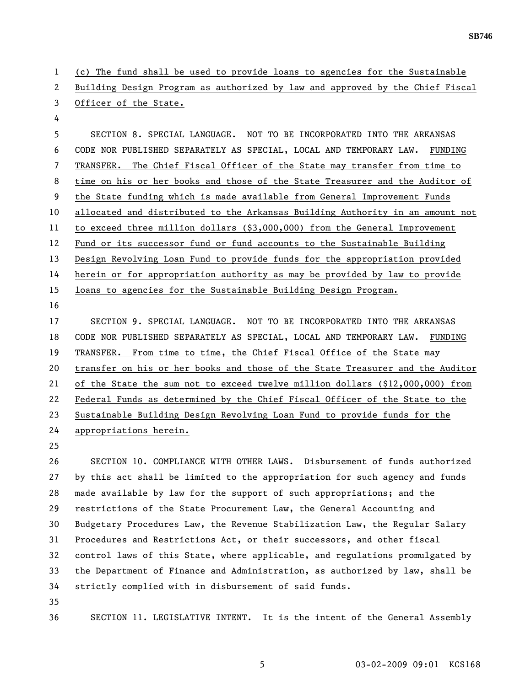1 (c) The fund shall be used to provide loans to agencies for the Sustainable 2 Building Design Program as authorized by law and approved by the Chief Fiscal 3 Officer of the State.

4

5 SECTION 8. SPECIAL LANGUAGE. NOT TO BE INCORPORATED INTO THE ARKANSAS 6 CODE NOR PUBLISHED SEPARATELY AS SPECIAL, LOCAL AND TEMPORARY LAW. FUNDING 7 TRANSFER. The Chief Fiscal Officer of the State may transfer from time to 8 time on his or her books and those of the State Treasurer and the Auditor of 9 the State funding which is made available from General Improvement Funds 10 allocated and distributed to the Arkansas Building Authority in an amount not 11 to exceed three million dollars (\$3,000,000) from the General Improvement 12 Fund or its successor fund or fund accounts to the Sustainable Building 13 Design Revolving Loan Fund to provide funds for the appropriation provided 14 herein or for appropriation authority as may be provided by law to provide 15 loans to agencies for the Sustainable Building Design Program. 16

17 SECTION 9. SPECIAL LANGUAGE. NOT TO BE INCORPORATED INTO THE ARKANSAS 18 CODE NOR PUBLISHED SEPARATELY AS SPECIAL, LOCAL AND TEMPORARY LAW. FUNDING 19 TRANSFER. From time to time, the Chief Fiscal Office of the State may 20 transfer on his or her books and those of the State Treasurer and the Auditor 21 of the State the sum not to exceed twelve million dollars (\$12,000,000) from 22 Federal Funds as determined by the Chief Fiscal Officer of the State to the 23 Sustainable Building Design Revolving Loan Fund to provide funds for the 24 appropriations herein.

25

26 SECTION 10. COMPLIANCE WITH OTHER LAWS. Disbursement of funds authorized 27 by this act shall be limited to the appropriation for such agency and funds 28 made available by law for the support of such appropriations; and the 29 restrictions of the State Procurement Law, the General Accounting and 30 Budgetary Procedures Law, the Revenue Stabilization Law, the Regular Salary 31 Procedures and Restrictions Act, or their successors, and other fiscal 32 control laws of this State, where applicable, and regulations promulgated by 33 the Department of Finance and Administration, as authorized by law, shall be 34 strictly complied with in disbursement of said funds.

35

36 SECTION 11. LEGISLATIVE INTENT. It is the intent of the General Assembly